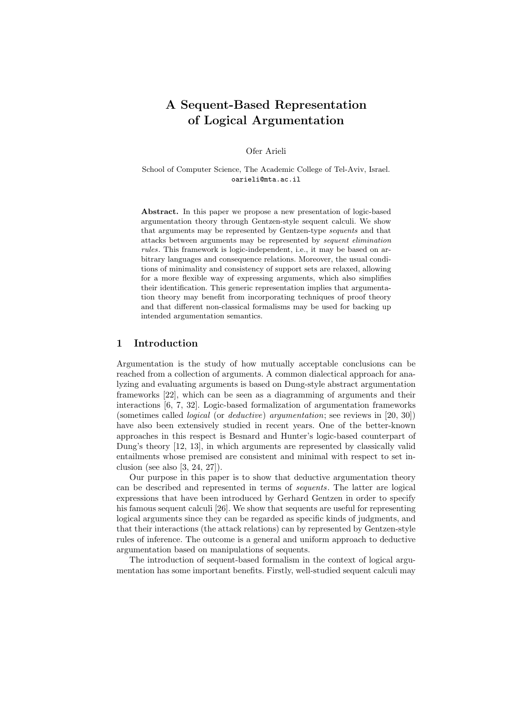# **A Sequent-Based Representation of Logical Argumentation**

Ofer Arieli

School of Computer Science, The Academic College of Tel-Aviv, Israel. oarieli@mta.ac.il

**Abstract.** In this paper we propose a new presentation of logic-based argumentation theory through Gentzen-style sequent calculi. We show that arguments may be represented by Gentzen-type *sequents* and that attacks between arguments may be represented by *sequent elimination rules*. This framework is logic-independent, i.e., it may be based on arbitrary languages and consequence relations. Moreover, the usual conditions of minimality and consistency of support sets are relaxed, allowing for a more flexible way of expressing arguments, which also simplifies their identification. This generic representation implies that argumentation theory may benefit from incorporating techniques of proof theory and that different non-classical formalisms may be used for backing up intended argumentation semantics.

## **1 Introduction**

Argumentation is the study of how mutually acceptable conclusions can be reached from a collection of arguments. A common dialectical approach for analyzing and evaluating arguments is based on Dung-style abstract argumentation frameworks [22], which can be seen as a diagramming of arguments and their interactions [6, 7, 32]. Logic-based formalization of argumentation frameworks (sometimes called *logical* (or *deductive*) *argumentation*; see reviews in [20, 30]) have also been extensively studied in recent years. One of the better-known approaches in this respect is Besnard and Hunter's logic-based counterpart of Dung's theory [12, 13], in which arguments are represented by classically valid entailments whose premised are consistent and minimal with respect to set inclusion (see also [3, 24, 27]).

Our purpose in this paper is to show that deductive argumentation theory can be described and represented in terms of *sequents*. The latter are logical expressions that have been introduced by Gerhard Gentzen in order to specify his famous sequent calculi [26]. We show that sequents are useful for representing logical arguments since they can be regarded as specific kinds of judgments, and that their interactions (the attack relations) can by represented by Gentzen-style rules of inference. The outcome is a general and uniform approach to deductive argumentation based on manipulations of sequents.

The introduction of sequent-based formalism in the context of logical argumentation has some important benefits. Firstly, well-studied sequent calculi may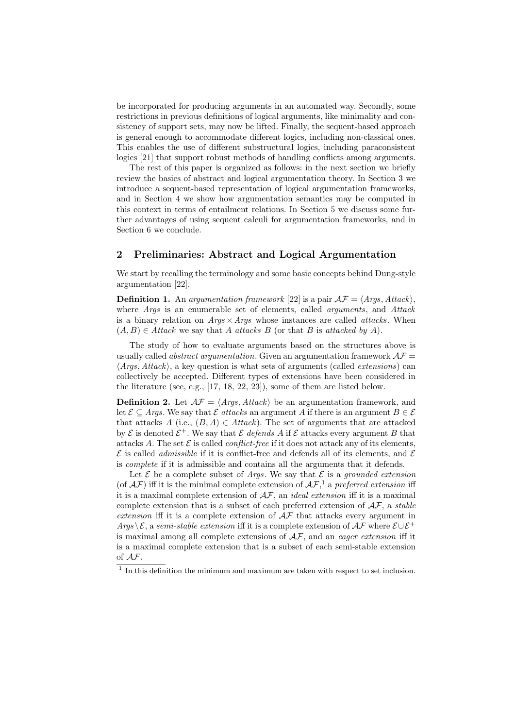be incorporated for producing arguments in an automated way. Secondly, some restrictions in previous definitions of logical arguments, like minimality and consistency of support sets, may now be lifted. Finally, the sequent-based approach is general enough to accommodate different logics, including non-classical ones. This enables the use of different substructural logics, including paraconsistent logics [21] that support robust methods of handling conflicts among arguments.

The rest of this paper is organized as follows: in the next section we briefly review the basics of abstract and logical argumentation theory. In Section 3 we introduce a sequent-based representation of logical argumentation frameworks, and in Section 4 we show how argumentation semantics may be computed in this context in terms of entailment relations. In Section 5 we discuss some further advantages of using sequent calculi for argumentation frameworks, and in Section 6 we conclude.

## **2 Preliminaries: Abstract and Logical Argumentation**

We start by recalling the terminology and some basic concepts behind Dung-style argumentation [22].

**Definition 1.** An *argumentation framework* [22] is a pair  $\mathcal{AF} = \langle \text{Args}, \text{Attack} \rangle$ , where *Args* is an enumerable set of elements, called *arguments*, and *Attack* is a binary relation on *Args ×Args* whose instances are called *attacks*. When  $(A, B)$  ∈ *Attack* we say that *A attacks B* (or that *B* is *attacked by A*).

The study of how to evaluate arguments based on the structures above is usually called *abstract argumentation*. Given an argumentation framework  $A\mathcal{F}$ *⟨Args, Attack⟩*, a key question is what sets of arguments (called *extensions*) can collectively be accepted. Different types of extensions have been considered in the literature (see, e.g., [17, 18, 22, 23]), some of them are listed below.

**Definition 2.** Let  $A\mathcal{F} = \langle \text{Args}, \text{Attack} \rangle$  be an argumentation framework, and let  $\mathcal{E} \subseteq \text{Arg}$ . We say that  $\mathcal{E}$  *attacks* an argument *A* if there is an argument  $B \in \mathcal{E}$ that attacks *A* (i.e.,  $(B, A) \in Attack$ ). The set of arguments that are attacked by  $\mathcal E$  is denoted  $\mathcal E^+$ . We say that  $\mathcal E$  *defends*  $A$  if  $\mathcal E$  attacks every argument  $B$  that attacks A. The set  $\mathcal E$  is called *conflict-free* if it does not attack any of its elements,  $\mathcal E$  is called *admissible* if it is conflict-free and defends all of its elements, and  $\mathcal E$ is *complete* if it is admissible and contains all the arguments that it defends.

Let  $\mathcal E$  be a complete subset of *Args*. We say that  $\mathcal E$  is a *grounded extension* (of  $\mathcal{AF}$ ) iff it is the minimal complete extension of  $\mathcal{AF}$ <sup>1</sup>, a *preferred extension* iff it is a maximal complete extension of *AF*, an *ideal extension* iff it is a maximal complete extension that is a subset of each preferred extension of *AF*, a *stable extension* iff it is a complete extension of *AF* that attacks every argument in *Args*  $\angle$ E, a *semi-stable extension* iff it is a complete extension of  $\angle$ AF where  $\angle$ ∪E<sup>+</sup> is maximal among all complete extensions of *AF*, and an *eager extension* iff it is a maximal complete extension that is a subset of each semi-stable extension of *AF*.

<sup>&</sup>lt;sup>1</sup> In this definition the minimum and maximum are taken with respect to set inclusion.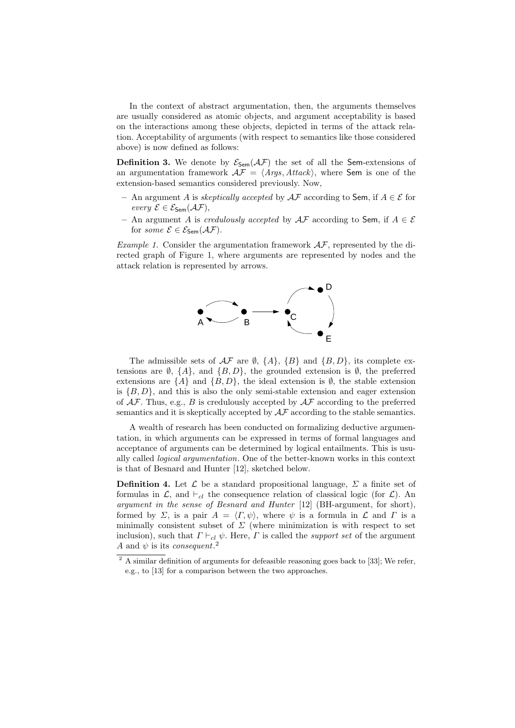In the context of abstract argumentation, then, the arguments themselves are usually considered as atomic objects, and argument acceptability is based on the interactions among these objects, depicted in terms of the attack relation. Acceptability of arguments (with respect to semantics like those considered above) is now defined as follows:

**Definition 3.** We denote by  $\mathcal{E}_{Sem}(\mathcal{AF})$  the set of all the Sem-extensions of an argumentation framework  $\mathcal{AF} = \langle \text{Args}, \text{Attack} \rangle$ , where Sem is one of the extension-based semantics considered previously. Now,

- **–** An argument *A* is *skeptically accepted* by *AF* according to Sem, if *A ∈ E* for  $every \mathcal{E} \in \mathcal{E}_{\mathsf{Sem}}(\mathcal{AF}),$
- **–** An argument *A* is *credulously accepted* by *AF* according to Sem, if *A ∈ E* for *some*  $\mathcal{E} \in \mathcal{E}_{\mathsf{Sem}}(\mathcal{AF})$ .

*Example 1.* Consider the argumentation framework *AF*, represented by the directed graph of Figure 1, where arguments are represented by nodes and the attack relation is represented by arrows.



The admissible sets of  $A\mathcal{F}$  are  $\emptyset$ ,  $\{A\}$ ,  $\{B\}$  and  $\{B, D\}$ , its complete extensions are  $\emptyset$ ,  $\{A\}$ , and  $\{B, D\}$ , the grounded extension is  $\emptyset$ , the preferred extensions are  $\{A\}$  and  $\{B, D\}$ , the ideal extension is  $\emptyset$ , the stable extension is  ${B, D}$ , and this is also the only semi-stable extension and eager extension of *AF*. Thus, e.g., *B* is credulously accepted by *AF* according to the preferred semantics and it is skeptically accepted by *AF* according to the stable semantics.

A wealth of research has been conducted on formalizing deductive argumentation, in which arguments can be expressed in terms of formal languages and acceptance of arguments can be determined by logical entailments. This is usually called *logical argumentation*. One of the better-known works in this context is that of Besnard and Hunter [12], sketched below.

**Definition 4.** Let  $\mathcal{L}$  be a standard propositional language,  $\Sigma$  a finite set of formulas in  $\mathcal{L}$ , and  $\vdash_{cl}$  the consequence relation of classical logic (for  $\mathcal{L}$ ). An *argument in the sense of Besnard and Hunter* [12] (BH-argument, for short), formed by *Σ*, is a pair  $A = \langle \Gamma, \psi \rangle$ , where  $\psi$  is a formula in *L* and *Γ* is a minimally consistent subset of  $\Sigma$  (where minimization is with respect to set inclusion), such that  $\Gamma \vdash_{cl} \psi$ . Here,  $\Gamma$  is called the *support set* of the argument *A* and  $\psi$  is its *consequent*.<sup>2</sup>

 $2$  A similar definition of arguments for defeasible reasoning goes back to [33]; We refer, e.g., to [13] for a comparison between the two approaches.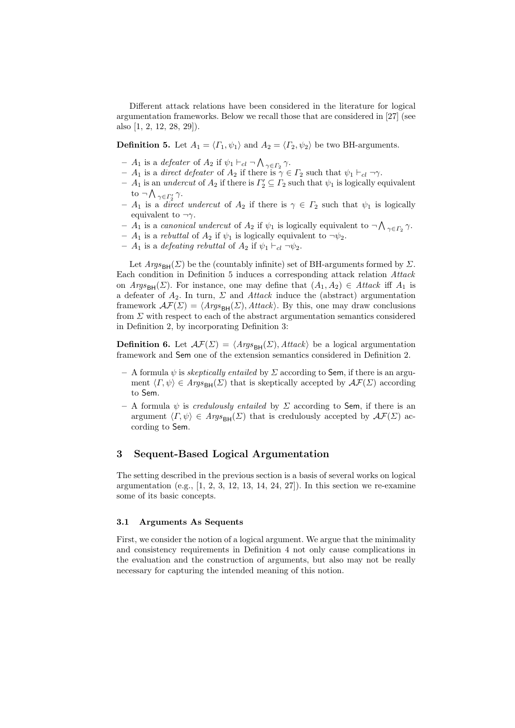Different attack relations have been considered in the literature for logical argumentation frameworks. Below we recall those that are considered in [27] (see also [1, 2, 12, 28, 29]).

**Definition 5.** Let  $A_1 = \langle \Gamma_1, \psi_1 \rangle$  and  $A_2 = \langle \Gamma_2, \psi_2 \rangle$  be two BH-arguments.

- $A_1$  is a *defeater* of  $A_2$  if  $\psi_1 \vdash_{cl} \neg \bigwedge_{\gamma \in \Gamma_2} \gamma$ .
- **–** *A*<sup>1</sup> is a *direct defeater* of *A*<sup>2</sup> if there is *γ ∈ Γ*<sup>2</sup> such that *ψ*<sup>1</sup> *⊢cl ¬γ*.
- $-$  *A*<sub>1</sub> is an *undercut* of *A*<sub>2</sub> if there is  $\Gamma'_2 \subseteq \Gamma_2$  such that  $\psi_1$  is logically equivalent to *¬* ∧ *γ∈Γ′ γ*.
- $A_1$  is a *direct undercut* of  $A_2$  if there is  $\gamma \in \Gamma_2$  such that  $\psi_1$  is logically equivalent to  $\neg \gamma$ .
- *−**A***<sub>1</sub> is a** *canonical undercut* **of** *A***<sub>2</sub> if** *ψ***<sub>1</sub> is logically equivalent to**  $\neg$  $\bigwedge_{\gamma \in \Gamma_2} \gamma$ **.**
- $A_1$  is a *rebuttal* of  $A_2$  if  $\psi_1$  is logically equivalent to  $\neg \psi_2$ .
- **–** *A*<sup>1</sup> is a *defeating rebuttal* of *A*<sup>2</sup> if *ψ*<sup>1</sup> *⊢cl ¬ψ*2.

Let  $Args_{\text{BH}}(\Sigma)$  be the (countably infinite) set of BH-arguments formed by  $\Sigma$ . Each condition in Definition 5 induces a corresponding attack relation *Attack* on  $Args_{BH}(\Sigma)$ . For instance, one may define that  $(A_1, A_2) \in Attack$  iff  $A_1$  is a defeater of *A*2. In turn, *Σ* and *Attack* induce the (abstract) argumentation framework  $\mathcal{AF}(\Sigma) = \langle \text{Args}_{\text{BH}}(\Sigma), \text{Attack} \rangle$ . By this, one may draw conclusions from *Σ* with respect to each of the abstract argumentation semantics considered in Definition 2, by incorporating Definition 3:

**Definition 6.** Let  $\mathcal{AF}(\Sigma) = \langle \text{Args}_{\text{BH}}(\Sigma), \text{Attack} \rangle$  be a logical argumentation framework and Sem one of the extension semantics considered in Definition 2.

- $-$  A formula  $\psi$  is *skeptically entailed* by  $\Sigma$  according to Sem, if there is an argument  $\langle \Gamma, \psi \rangle \in \text{Args}_{\text{BH}}(\Sigma)$  that is skeptically accepted by  $\mathcal{AF}(\Sigma)$  according to Sem.
- **–** A formula *ψ* is *credulously entailed* by *Σ* according to Sem, if there is an argument  $\langle \Gamma, \psi \rangle \in \text{Args}_{\text{BH}}(\Sigma)$  that is credulously accepted by  $\mathcal{AF}(\Sigma)$  according to Sem.

## **3 Sequent-Based Logical Argumentation**

The setting described in the previous section is a basis of several works on logical argumentation (e.g.,  $[1, 2, 3, 12, 13, 14, 24, 27]$ ). In this section we re-examine some of its basic concepts.

#### **3.1 Arguments As Sequents**

First, we consider the notion of a logical argument. We argue that the minimality and consistency requirements in Definition 4 not only cause complications in the evaluation and the construction of arguments, but also may not be really necessary for capturing the intended meaning of this notion.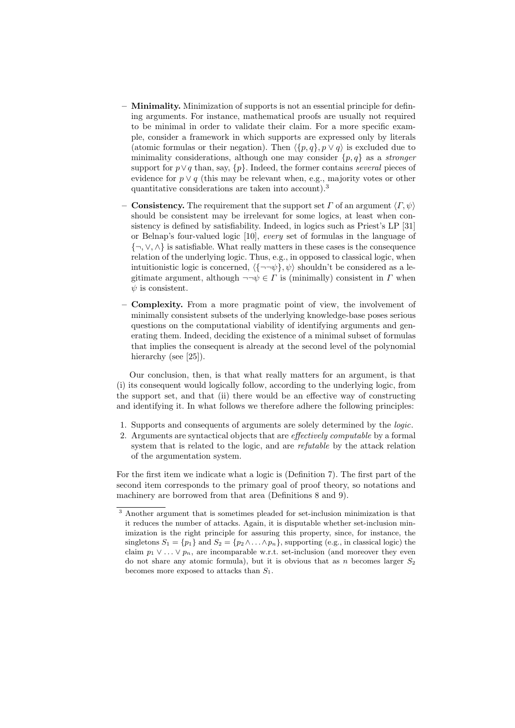- **– Minimality.** Minimization of supports is not an essential principle for defining arguments. For instance, mathematical proofs are usually not required to be minimal in order to validate their claim. For a more specific example, consider a framework in which supports are expressed only by literals (atomic formulas or their negation). Then  $\langle \{p, q\}, p \vee q \rangle$  is excluded due to minimality considerations, although one may consider *{p, q}* as a *stronger* support for *p∨q* than, say, *{p}*. Indeed, the former contains *several* pieces of evidence for  $p \vee q$  (this may be relevant when, e.g., majority votes or other quantitative considerations are taken into account).<sup>3</sup>
- **Consistency.** The requirement that the support set  $\Gamma$  of an argument  $\langle \Gamma, \psi \rangle$ should be consistent may be irrelevant for some logics, at least when consistency is defined by satisfiability. Indeed, in logics such as Priest's LP [31] or Belnap's four-valued logic [10], *every* set of formulas in the language of *{¬, ∨, ∧}* is satisfiable. What really matters in these cases is the consequence relation of the underlying logic. Thus, e.g., in opposed to classical logic, when intuitionistic logic is concerned,  $\langle {\neg \neg \psi}, \psi \rangle$  shouldn't be considered as a legitimate argument, although  $\neg\neg\psi \in \Gamma$  is (minimally) consistent in  $\Gamma$  when *ψ* is consistent.
- **– Complexity.** From a more pragmatic point of view, the involvement of minimally consistent subsets of the underlying knowledge-base poses serious questions on the computational viability of identifying arguments and generating them. Indeed, deciding the existence of a minimal subset of formulas that implies the consequent is already at the second level of the polynomial hierarchy (see [25]).

Our conclusion, then, is that what really matters for an argument, is that (i) its consequent would logically follow, according to the underlying logic, from the support set, and that (ii) there would be an effective way of constructing and identifying it. In what follows we therefore adhere the following principles:

- 1. Supports and consequents of arguments are solely determined by the *logic*.
- 2. Arguments are syntactical objects that are *effectively computable* by a formal system that is related to the logic, and are *refutable* by the attack relation of the argumentation system.

For the first item we indicate what a logic is (Definition 7). The first part of the second item corresponds to the primary goal of proof theory, so notations and machinery are borrowed from that area (Definitions 8 and 9).

<sup>&</sup>lt;sup>3</sup> Another argument that is sometimes pleaded for set-inclusion minimization is that it reduces the number of attacks. Again, it is disputable whether set-inclusion minimization is the right principle for assuring this property, since, for instance, the singletons  $S_1 = \{p_1\}$  and  $S_2 = \{p_2 \land \ldots \land p_n\}$ , supporting (e.g., in classical logic) the claim  $p_1 \vee \ldots \vee p_n$ , are incomparable w.r.t. set-inclusion (and moreover they even do not share any atomic formula), but it is obvious that as *n* becomes larger *S*<sup>2</sup> becomes more exposed to attacks than *S*1.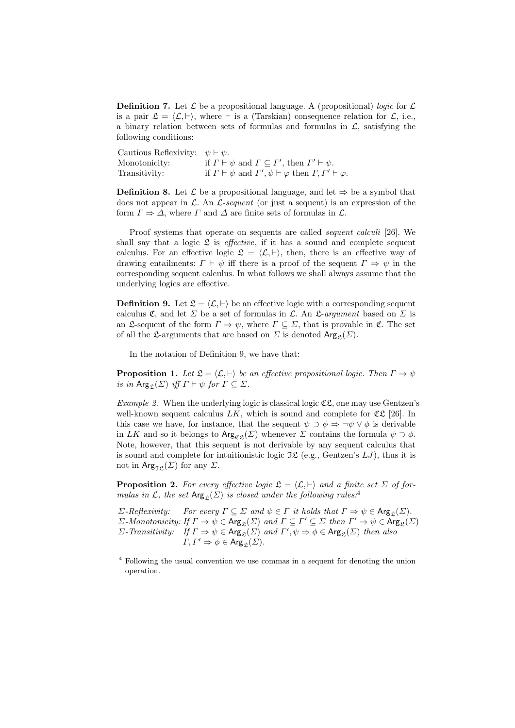**Definition 7.** Let  $\mathcal{L}$  be a propositional language. A (propositional) *logic* for  $\mathcal{L}$ is a pair  $\mathfrak{L} = \langle \mathcal{L}, \vdash \rangle$ , where  $\vdash$  is a (Tarskian) consequence relation for  $\mathcal{L}$ , i.e., a binary relation between sets of formulas and formulas in *L*, satisfying the following conditions:

Cautious Reflexivity: *ψ ⊢ ψ*. Monotonicity: if  $\Gamma \vdash \psi$  and  $\Gamma \subseteq \Gamma'$ , then  $\Gamma' \vdash \psi$ . Transitivity: if  $\Gamma \vdash \psi$  and  $\Gamma', \psi \vdash \varphi$  then  $\Gamma, \Gamma' \vdash \varphi$ .

**Definition 8.** Let  $\mathcal{L}$  be a propositional language, and let  $\Rightarrow$  be a symbol that does not appear in *L*. An *L*-*sequent* (or just a sequent) is an expression of the form  $\Gamma \Rightarrow \Delta$ , where  $\Gamma$  and  $\Delta$  are finite sets of formulas in  $\mathcal{L}$ .

Proof systems that operate on sequents are called *sequent calculi* [26]. We shall say that a logic  $\mathfrak L$  is *effective*, if it has a sound and complete sequent calculus. For an effective logic  $\mathfrak{L} = \langle \mathcal{L}, \vdash \rangle$ , then, there is an effective way of drawing entailments:  $\Gamma \vdash \psi$  iff there is a proof of the sequent  $\Gamma \Rightarrow \psi$  in the corresponding sequent calculus. In what follows we shall always assume that the underlying logics are effective.

**Definition 9.** Let  $\mathcal{L} = \langle \mathcal{L}, \vdash \rangle$  be an effective logic with a corresponding sequent calculus  $\mathfrak{C}$ , and let  $\Sigma$  be a set of formulas in  $\mathcal{L}$ . An  $\mathfrak{L}$ -*argument* based on  $\Sigma$  is an £-sequent of the form  $\Gamma \Rightarrow \psi$ , where  $\Gamma \subseteq \Sigma$ , that is provable in  $\mathfrak{C}$ . The set of all the L-arguments that are based on  $\Sigma$  is denoted  $\text{Arg}_{\mathfrak{C}}(\Sigma)$ .

In the notation of Definition 9, we have that:

**Proposition 1.** *Let*  $\mathcal{L} = \langle \mathcal{L}, \vdash \rangle$  *be an effective propositional logic. Then*  $\Gamma \Rightarrow \psi$  $i$ *s in*  $\text{Arg}_{\mathfrak{L}}(\Sigma)$  *iff*  $\Gamma \vdash \psi$  *for*  $\Gamma \subseteq \Sigma$ *.* 

*Example 2.* When the underlying logic is classical logic  $\mathfrak{CE}$ , one may use Gentzen's well-known sequent calculus  $LK$ , which is sound and complete for  $\mathfrak{CL}$  [26]. In this case we have, for instance, that the sequent  $\psi \supset \phi \Rightarrow \neg \psi \vee \phi$  is derivable in *LK* and so it belongs to  $\text{Arg}_{\mathfrak{CE}}(\Sigma)$  whenever  $\Sigma$  contains the formula  $\psi \supset \phi$ . Note, however, that this sequent is not derivable by any sequent calculus that is sound and complete for intuitionistic logic  $\mathfrak{IL}$  (e.g., Gentzen's  $LJ$ ), thus it is not in  $\text{Arg}_{\mathfrak{IL}}(\Sigma)$  for any  $\Sigma$ .

**Proposition 2.** For every effective logic  $\mathfrak{L} = \langle \mathcal{L}, \vdash \rangle$  and a finite set  $\Sigma$  of for*mulas in*  $\mathcal{L}$ *, the set* Arg<sub>c</sub>( $\Sigma$ ) *is closed under the following rules:*<sup>4</sup>

*Σ*-*Reflexivity: For every*  $\Gamma \subseteq \Sigma$  *and*  $\psi \in \Gamma$  *it holds that*  $\Gamma \Rightarrow \psi \in \text{Arg}_{\mathcal{L}}(\Sigma)$ *. Σ-Monotonicity: If*  $\Gamma \Rightarrow \psi \in \text{Arg}_{\mathcal{L}}(\Sigma)$  *and*  $\Gamma \subseteq \Gamma' \subseteq \Sigma$  *then*  $\Gamma' \Rightarrow \psi \in \text{Arg}_{\mathcal{L}}(\Sigma)$ *Σ-Transitivity: If*  $\Gamma \Rightarrow \psi \in \text{Arg}_{\mathcal{L}}(\Sigma)$  *and*  $\Gamma', \psi \Rightarrow \phi \in \text{Arg}_{\mathcal{L}}(\Sigma)$  *then also*  $\Gamma, \Gamma' \Rightarrow \phi \in \text{Arg}_{\mathcal{P}}(\Sigma).$ 

<sup>4</sup> Following the usual convention we use commas in a sequent for denoting the union operation.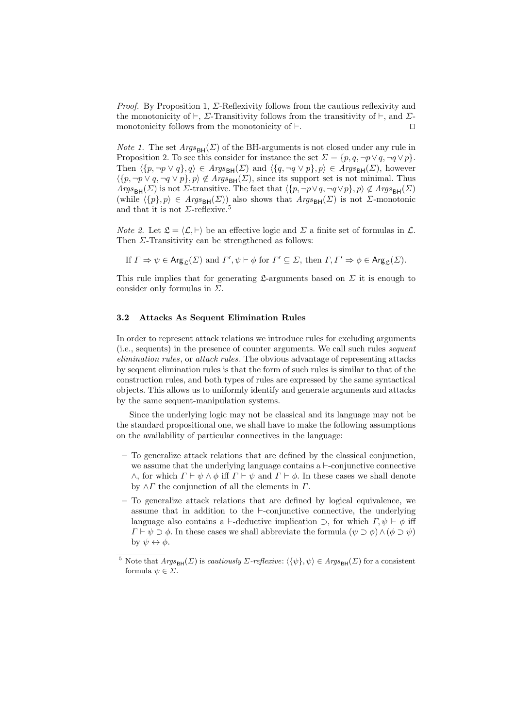*Proof.* By Proposition 1, Σ-Reflexivity follows from the cautious reflexivity and the monotonicity of *⊢*, *Σ*-Transitivity follows from the transitivity of *⊢*, and *Σ*monotonicity follows from the monotonicity of *⊢*. *⊓⊔*

*Note 1.* The set  $Args_{\text{BH}}(\Sigma)$  of the BH-arguments is not closed under any rule in Proposition 2. To see this consider for instance the set  $\Sigma = \{p, q, \neg p \lor q, \neg q \lor p\}$ . Then  $\langle \{p, \neg p \lor q\}, q \rangle \in \text{Args}_{\text{BH}}(\Sigma)$  and  $\langle \{q, \neg q \lor p\}, p \rangle \in \text{Args}_{\text{BH}}(\Sigma)$ , however  $\langle \{p, \neg p \lor q, \neg q \lor p\}, p \rangle \notin \text{Args}_{\text{BH}}(\Sigma)$ , since its support set is not minimal. Thus *Args*<sub>BH</sub>(*Σ*) is not *Σ*-transitive. The fact that  $\langle \{p, \neg p \lor q, \neg q \lor p\}, p \rangle \notin \text{A}rgs_{\text{BH}}(\Sigma)$ (while  $\langle \{p\}, p \rangle \in \text{Args}_{\text{BH}}(\Sigma)$ ) also shows that  $\text{Args}_{\text{BH}}(\Sigma)$  is not *Σ*-monotonic and that it is not  $\Sigma$ -reflexive.<sup>5</sup>

*Note 2.* Let  $\mathfrak{L} = \langle \mathcal{L}, \vdash \rangle$  be an effective logic and  $\Sigma$  a finite set of formulas in  $\mathcal{L}$ . Then *Σ*-Transitivity can be strengthened as follows:

If  $\Gamma \Rightarrow \psi \in \text{Arg}_{\mathfrak{L}}(\Sigma)$  and  $\Gamma', \psi \vdash \phi$  for  $\Gamma' \subseteq \Sigma$ , then  $\Gamma, \Gamma' \Rightarrow \phi \in \text{Arg}_{\mathfrak{L}}(\Sigma)$ .

This rule implies that for generating  $\mathfrak{L}$ -arguments based on  $\Sigma$  it is enough to consider only formulas in *Σ*.

### **3.2 Attacks As Sequent Elimination Rules**

In order to represent attack relations we introduce rules for excluding arguments (i.e., sequents) in the presence of counter arguments. We call such rules *sequent elimination rules*, or *attack rules*. The obvious advantage of representing attacks by sequent elimination rules is that the form of such rules is similar to that of the construction rules, and both types of rules are expressed by the same syntactical objects. This allows us to uniformly identify and generate arguments and attacks by the same sequent-manipulation systems.

Since the underlying logic may not be classical and its language may not be the standard propositional one, we shall have to make the following assumptions on the availability of particular connectives in the language:

- **–** To generalize attack relations that are defined by the classical conjunction, we assume that the underlying language contains a *⊢*-conjunctive connective *∧*, for which  $Γ ⊢ ψ ∧ φ$  iff  $Γ ⊢ ψ$  and  $Γ ⊢ φ$ . In these cases we shall denote by *∧Γ* the conjunction of all the elements in *Γ*.
- **–** To generalize attack relations that are defined by logical equivalence, we assume that in addition to the *⊢*-conjunctive connective, the underlying language also contains a *⊢*-deductive implication  $\supset$ , for which  $\Gamma, \psi \vdash \phi$  iff *Γ*  $\vdash \psi \supset \phi$ . In these cases we shall abbreviate the formula  $(\psi \supset \phi) \land (\phi \supset \psi)$ by  $\psi \leftrightarrow \phi$ .

Note that  $Args_{BH}(\Sigma)$  is *cautiously*  $\Sigma$ *-reflexive*:  $\langle {\psi}, \psi \rangle \in Args_{BH}(\Sigma)$  for a consistent formula  $\psi \in \Sigma$ .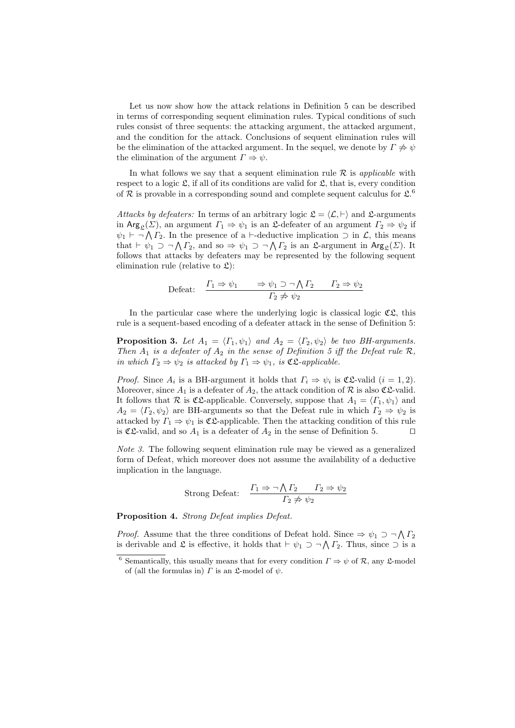Let us now show how the attack relations in Definition 5 can be described in terms of corresponding sequent elimination rules. Typical conditions of such rules consist of three sequents: the attacking argument, the attacked argument, and the condition for the attack. Conclusions of sequent elimination rules will be the elimination of the attacked argument. In the sequel, we denote by  $\Gamma \neq \psi$ the elimination of the argument  $\Gamma \Rightarrow \psi$ .

In what follows we say that a sequent elimination rule  $R$  is *applicable* with respect to a logic  $\mathfrak{L}$ , if all of its conditions are valid for  $\mathfrak{L}$ , that is, every condition of  $R$  is provable in a corresponding sound and complete sequent calculus for  $\mathfrak{L}$ <sup>6</sup>

*Attacks by defeaters:* In terms of an arbitrary logic  $\mathcal{L} = \langle \mathcal{L}, \vdash \rangle$  and  $\mathcal{L}$ -arguments in Arg<sub>c</sub>(*Σ*), an argument  $\Gamma_1 \Rightarrow \psi_1$  is an *L*-defeater of an argument  $\Gamma_2 \Rightarrow \psi_2$  if  $\psi_1$  *⊢* ¬  $\bigwedge \Gamma_2$ . In the presence of a *⊢*-deductive implication  $\supset$  in  $\mathcal{L}$ , this means that  $\vdash \psi_1 \supset \neg \bigwedge \Gamma_2$ , and so  $\Rightarrow \psi_1 \supset \neg \bigwedge \Gamma_2$  is an  $\mathfrak{L}$ -argument in  $\text{Arg}_{\mathfrak{L}}(\Sigma)$ . It follows that attacks by defeaters may be represented by the following sequent elimination rule (relative to  $\mathfrak{L}$ ):

$$
\text{Defeat:} \quad \frac{\Gamma_1 \Rightarrow \psi_1 \quad \Rightarrow \psi_1 \supset \neg \bigwedge \Gamma_2 \quad \Gamma_2 \Rightarrow \psi_2}{\Gamma_2 \not\Rightarrow \psi_2}
$$

In the particular case where the underlying logic is classical logic  $\mathfrak{C}\mathfrak{L}$ , this rule is a sequent-based encoding of a defeater attack in the sense of Definition 5:

**Proposition 3.** Let  $A_1 = \langle \Gamma_1, \psi_1 \rangle$  and  $A_2 = \langle \Gamma_2, \psi_2 \rangle$  be two BH-arguments. *Then*  $A_1$  *is a defeater of*  $A_2$  *in the sense of Definition 5 iff the Defeat rule*  $\mathcal{R}$ *, in which*  $\Gamma_2 \Rightarrow \psi_2$  *is attacked by*  $\Gamma_1 \Rightarrow \psi_1$ *, is*  $\mathfrak{CL}\text{-}applied$ .

*Proof.* Since  $A_i$  is a BH-argument it holds that  $\Gamma_i \Rightarrow \psi_i$  is CL-valid  $(i = 1, 2)$ . Moreover, since  $A_1$  is a defeater of  $A_2$ , the attack condition of  $R$  is also  $CL$ -valid. It follows that  $\mathcal{R}$  is  $\mathfrak{CL}$ -applicable. Conversely, suppose that  $A_1 = \langle \Gamma_1, \psi_1 \rangle$  and  $A_2 = \langle \Gamma_2, \psi_2 \rangle$  are BH-arguments so that the Defeat rule in which  $\Gamma_2 \Rightarrow \psi_2$  is attacked by  $\Gamma_1 \Rightarrow \psi_1$  is  $\mathfrak{CE}$ -applicable. Then the attacking condition of this rule is  $\mathfrak{C}\mathfrak{L}\text{-}\mathsf{valid}$ , and so  $A_1$  is a defeater of  $A_2$  in the sense of Definition 5.  $\Box$ 

*Note 3.* The following sequent elimination rule may be viewed as a generalized form of Defeat, which moreover does not assume the availability of a deductive implication in the language.

Strong Defeat: 
$$
\frac{\Gamma_1 \Rightarrow \neg \bigwedge \Gamma_2 \qquad \Gamma_2 \Rightarrow \psi_2}{\Gamma_2 \not\Rightarrow \psi_2}
$$

**Proposition 4.** *Strong Defeat implies Defeat.*

*Proof.* Assume that the three conditions of Defeat hold. Since  $\Rightarrow \psi_1 \supset \neg \bigwedge \Gamma_2$ is derivable and £ is effective, it holds that  $\vdash \psi_1 \supset \neg \bigwedge \Gamma_2$ . Thus, since  $\supset$  is a

<sup>&</sup>lt;sup>6</sup> Semantically, this usually means that for every condition  $\Gamma \Rightarrow \psi$  of  $\mathcal{R}$ , any L-model of (all the formulas in)  $\Gamma$  is an  $\mathfrak{L}\text{-model}$  of  $\psi$ .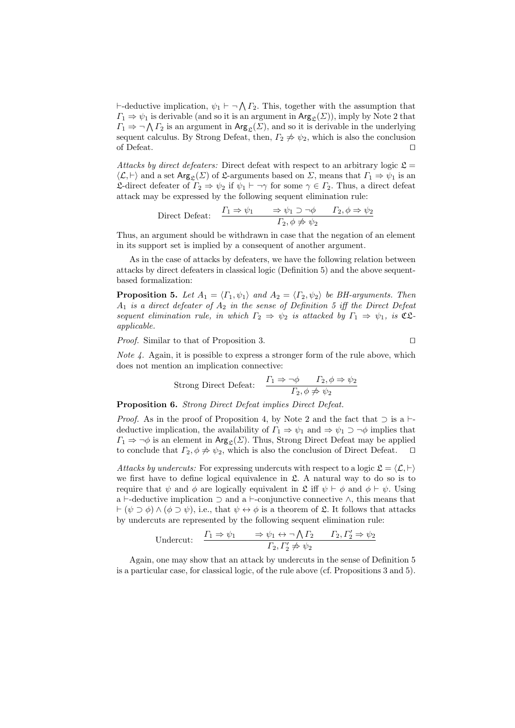*⊦*-deductive implication,  $\psi_1$  *⊦* ¬  $\Lambda$  *Γ*<sub>2</sub>. This, together with the assumption that  $\Gamma_1 \Rightarrow \psi_1$  is derivable (and so it is an argument in  $\text{Arg}_{\mathcal{L}}(\Sigma)$ ), imply by Note 2 that  $\Gamma_1 \Rightarrow \neg \bigwedge \Gamma_2$  is an argument in  $\text{Arg}_{\mathcal{L}}(\Sigma)$ , and so it is derivable in the underlying sequent calculus. By Strong Defeat, then,  $\Gamma_2 \neq \psi_2$ , which is also the conclusion of Defeat. *⊓⊔*

*Attacks by direct defeaters:* Direct defeat with respect to an arbitrary logic  $\mathfrak{L} =$  $\langle \mathcal{L}, \vdash \rangle$  and a set Arg<sub>c</sub>(*Σ*) of *Σ*-arguments based on *Σ*, means that  $\Gamma_1 \Rightarrow \psi_1$  is an L-direct defeater of *Γ*<sup>2</sup> *⇒ ψ*<sup>2</sup> if *ψ*<sup>1</sup> *⊢ ¬γ* for some *γ ∈ Γ*2. Thus, a direct defeat attack may be expressed by the following sequent elimination rule:

Direct Defeat: 
$$
\frac{\Gamma_1 \Rightarrow \psi_1 \quad \Rightarrow \psi_1 \supset \neg \phi \quad \Gamma_2, \phi \Rightarrow \psi_2}{\Gamma_2, \phi \not\Rightarrow \psi_2}
$$

Thus, an argument should be withdrawn in case that the negation of an element in its support set is implied by a consequent of another argument.

As in the case of attacks by defeaters, we have the following relation between attacks by direct defeaters in classical logic (Definition 5) and the above sequentbased formalization:

**Proposition 5.** Let  $A_1 = \langle \Gamma_1, \psi_1 \rangle$  and  $A_2 = \langle \Gamma_2, \psi_2 \rangle$  be BH-arguments. Then *A*<sup>1</sup> *is a direct defeater of A*<sup>2</sup> *in the sense of Definition 5 iff the Direct Defeat sequent elimination rule, in which*  $\Gamma_2 \Rightarrow \psi_2$  *is attacked by*  $\Gamma_1 \Rightarrow \psi_1$ *, is*  $\mathfrak{C} \mathfrak{L}$ *applicable.*

*Proof.* Similar to that of Proposition 3. *⊓⊔*

*Note 4.* Again, it is possible to express a stronger form of the rule above, which does not mention an implication connective:

Strong Direct Defeat: 
$$
\frac{\Gamma_1 \Rightarrow \neg \phi \qquad \Gamma_2, \phi \Rightarrow \psi_2}{\Gamma_2, \phi \not\Rightarrow \psi_2}
$$

**Proposition 6.** *Strong Direct Defeat implies Direct Defeat.*

*Proof.* As in the proof of Proposition 4, by Note 2 and the fact that  $\supset$  is a *⊦*deductive implication, the availability of  $\Gamma_1 \Rightarrow \psi_1$  and  $\Rightarrow \psi_1 \supset \neg \phi$  implies that  $\Gamma_1 \Rightarrow \neg \phi$  is an element in Arg<sub>c</sub>(*Σ*). Thus, Strong Direct Defeat may be applied to conclude that  $\Gamma_2$ ,  $\phi \neq \psi_2$ , which is also the conclusion of Direct Defeat.  $\Box$ 

*Attacks by undercuts:* For expressing undercuts with respect to a logic  $\mathcal{L} = \langle \mathcal{L}, \vdash \rangle$ we first have to define logical equivalence in L. A natural way to do so is to require that  $\psi$  and  $\phi$  are logically equivalent in  $\mathfrak{L}$  iff  $\psi \vdash \phi$  and  $\phi \vdash \psi$ . Using a *⊢*-deductive implication *⊃* and a *⊢*-conjunctive connective *∧*, this means that *⊢* (*ψ ⊃ ϕ*) *∧* (*ϕ ⊃ ψ*), i.e., that *ψ ↔ ϕ* is a theorem of L. It follows that attacks by undercuts are represented by the following sequent elimination rule:

$$
\text{Undercut:} \quad \frac{\Gamma_1 \Rightarrow \psi_1 \quad \Rightarrow \psi_1 \leftrightarrow \neg \bigwedge \Gamma_2 \quad \Gamma_2, \Gamma_2' \Rightarrow \psi_2}{\Gamma_2, \Gamma_2' \neq \psi_2}
$$

Again, one may show that an attack by undercuts in the sense of Definition 5 is a particular case, for classical logic, of the rule above (cf. Propositions 3 and 5).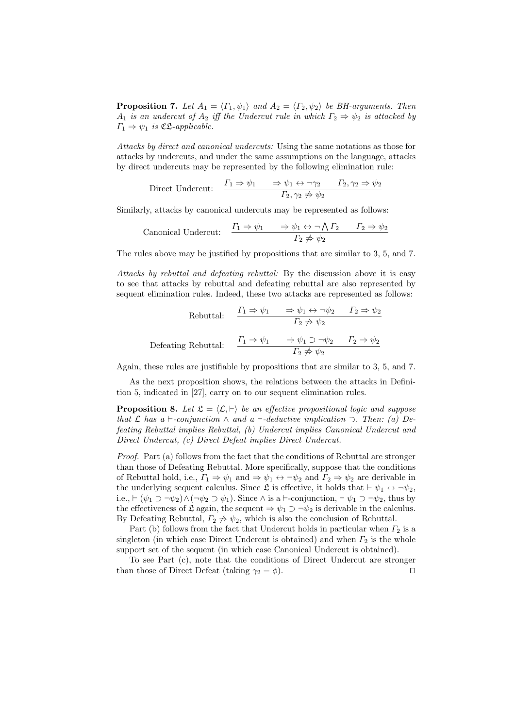**Proposition 7.** *Let*  $A_1 = \langle \Gamma_1, \psi_1 \rangle$  *and*  $A_2 = \langle \Gamma_2, \psi_2 \rangle$  *be BH-arguments. Then A*<sub>1</sub> *is an undercut of A*<sub>2</sub> *iff the Undercut rule in which*  $\Gamma_2 \Rightarrow \psi_2$  *is attacked by*  $\Gamma_1 \Rightarrow \psi_1$  *is* **C**L-applicable.

*Attacks by direct and canonical undercuts:* Using the same notations as those for attacks by undercuts, and under the same assumptions on the language, attacks by direct undercuts may be represented by the following elimination rule:

Direct Undercut: 
$$
\frac{\Gamma_1 \Rightarrow \psi_1 \quad \Rightarrow \psi_1 \leftrightarrow \neg \gamma_2 \quad \Gamma_2, \gamma_2 \Rightarrow \psi_2}{\Gamma_2, \gamma_2 \not\Rightarrow \psi_2}
$$

Similarly, attacks by canonical undercuts may be represented as follows:

$$
\text{canonical Undercut:} \quad \frac{\Gamma_1 \Rightarrow \psi_1 \quad \Rightarrow \psi_1 \leftrightarrow \neg \bigwedge \Gamma_2 \quad \Gamma_2 \Rightarrow \psi_2}{\Gamma_2 \not\Rightarrow \psi_2}
$$

The rules above may be justified by propositions that are similar to 3, 5, and 7.

*Attacks by rebuttal and defeating rebuttal:* By the discussion above it is easy to see that attacks by rebuttal and defeating rebuttal are also represented by sequent elimination rules. Indeed, these two attacks are represented as follows:

Rebuttal:

\n
$$
\frac{\Gamma_1 \Rightarrow \psi_1 \quad \Rightarrow \psi_1 \leftrightarrow \neg \psi_2 \quad \Gamma_2 \Rightarrow \psi_2}{\Gamma_2 \not\Rightarrow \psi_2}
$$
\nDefeating Rebuttal:

\n
$$
\frac{\Gamma_1 \Rightarrow \psi_1 \quad \Rightarrow \psi_1 \supset \neg \psi_2 \quad \Gamma_2 \Rightarrow \psi_2}{\Gamma_2 \not\Rightarrow \psi_2}
$$

Again, these rules are justifiable by propositions that are similar to 3, 5, and 7.

As the next proposition shows, the relations between the attacks in Definition 5, indicated in [27], carry on to our sequent elimination rules.

**Proposition 8.** Let  $\mathcal{L} = \langle \mathcal{L}, \vdash \rangle$  be an effective propositional logic and suppose *that*  $\mathcal{L}$  *has*  $a \vdash$ -conjunction  $\land$  and  $a \vdash$ -deductive implication  $\supset$ *. Then: (a)* De*feating Rebuttal implies Rebuttal, (b) Undercut implies Canonical Undercut and Direct Undercut, (c) Direct Defeat implies Direct Undercut.*

*Proof.* Part (a) follows from the fact that the conditions of Rebuttal are stronger than those of Defeating Rebuttal. More specifically, suppose that the conditions of Rebuttal hold, i.e.,  $\Gamma_1 \Rightarrow \psi_1$  and  $\Rightarrow \psi_1 \leftrightarrow \neg \psi_2$  and  $\Gamma_2 \Rightarrow \psi_2$  are derivable in the underlying sequent calculus. Since  $\mathfrak{L}$  is effective, it holds that  $\vdash \psi_1 \leftrightarrow \neg \psi_2$ , i.e.,  $\vdash (\psi_1 \supset \neg \psi_2) \land (\neg \psi_2 \supset \psi_1)$ . Since  $\land$  is a *⊢*-conjunction,  $\vdash \psi_1 \supset \neg \psi_2$ , thus by the effectiveness of  $\mathfrak{L}$  again, the sequent  $\Rightarrow \psi_1 \supset \neg \psi_2$  is derivable in the calculus. By Defeating Rebuttal,  $\Gamma_2 \neq \psi_2$ , which is also the conclusion of Rebuttal.

Part (b) follows from the fact that Undercut holds in particular when *Γ*<sub>2</sub> is a singleton (in which case Direct Undercut is obtained) and when  $\Gamma_2$  is the whole support set of the sequent (in which case Canonical Undercut is obtained).

To see Part (c), note that the conditions of Direct Undercut are stronger than those of Direct Defeat (taking  $\gamma_2 = \phi$ ).  $\Box$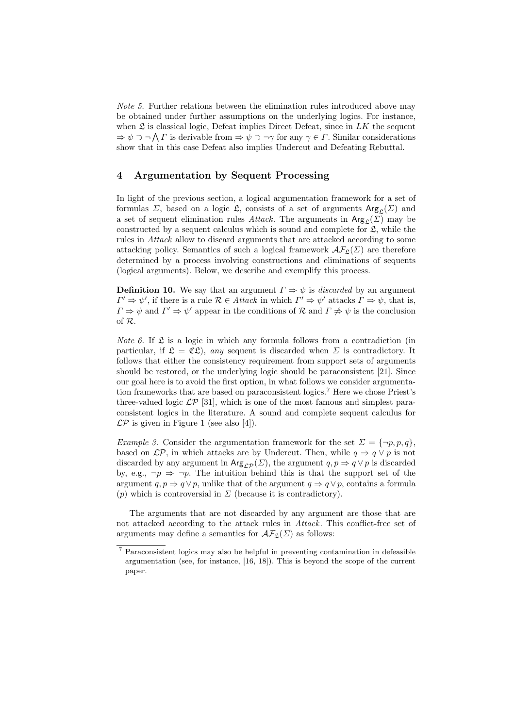*Note 5.* Further relations between the elimination rules introduced above may be obtained under further assumptions on the underlying logics. For instance, when  $\mathfrak L$  is classical logic, Defeat implies Direct Defeat, since in  $LK$  the sequent *⇒ ψ ⊃ ¬* ∧ *Γ* is derivable from *⇒ ψ ⊃ ¬γ* for any *γ ∈ Γ*. Similar considerations show that in this case Defeat also implies Undercut and Defeating Rebuttal.

## **4 Argumentation by Sequent Processing**

In light of the previous section, a logical argumentation framework for a set of formulas *Σ*, based on a logic *£*, consists of a set of arguments  $Arg_{\alpha}(\Sigma)$  and a set of sequent elimination rules *Attack*. The arguments in  $\text{Arg}_{\mathcal{L}}(\Sigma)$  may be constructed by a sequent calculus which is sound and complete for  $\mathfrak{L}$ , while the rules in *Attack* allow to discard arguments that are attacked according to some attacking policy. Semantics of such a logical framework  $\mathcal{AF}_{\mathfrak{L}}(\Sigma)$  are therefore determined by a process involving constructions and eliminations of sequents (logical arguments). Below, we describe and exemplify this process.

**Definition 10.** We say that an argument  $\Gamma \Rightarrow \psi$  is *discarded* by an argument  $\Gamma' \Rightarrow \psi'$ , if there is a rule  $\mathcal{R} \in \text{Attack in which } \Gamma' \Rightarrow \psi'$  attacks  $\Gamma \Rightarrow \psi$ , that is,  $\Gamma \Rightarrow \psi$  and  $\Gamma' \Rightarrow \psi'$  appear in the conditions of  $\mathcal R$  and  $\Gamma \not\Rightarrow \psi$  is the conclusion of *R*.

*Note 6.* If  $\mathfrak L$  is a logic in which any formula follows from a contradiction (in particular, if  $\mathfrak{L} = \mathfrak{C} \mathfrak{L}$ , *any* sequent is discarded when  $\Sigma$  is contradictory. It follows that either the consistency requirement from support sets of arguments should be restored, or the underlying logic should be paraconsistent [21]. Since our goal here is to avoid the first option, in what follows we consider argumentation frameworks that are based on paraconsistent logics.<sup>7</sup> Here we chose Priest's three-valued logic  $\mathcal{LP}$  [31], which is one of the most famous and simplest paraconsistent logics in the literature. A sound and complete sequent calculus for  $\mathcal{LP}$  is given in Figure 1 (see also [4]).

*Example 3.* Consider the argumentation framework for the set  $\Sigma = {\neg p, p, q}$ , based on  $\mathcal{LP}$ , in which attacks are by Undercut. Then, while  $q \Rightarrow q \lor p$  is not discarded by any argument in  $\text{Arg}_{\mathcal{LP}}(\Sigma)$ , the argument  $q, p \Rightarrow q \lor p$  is discarded by, e.g.,  $\neg p \Rightarrow \neg p$ . The intuition behind this is that the support set of the argument  $q, p \Rightarrow q \lor p$ , unlike that of the argument  $q \Rightarrow q \lor p$ , contains a formula  $(p)$  which is controversial in  $\Sigma$  (because it is contradictory).

The arguments that are not discarded by any argument are those that are not attacked according to the attack rules in *Attack*. This conflict-free set of arguments may define a semantics for  $\mathcal{AF}_{\mathfrak{L}}(\Sigma)$  as follows:

<sup>7</sup> Paraconsistent logics may also be helpful in preventing contamination in defeasible argumentation (see, for instance, [16, 18]). This is beyond the scope of the current paper.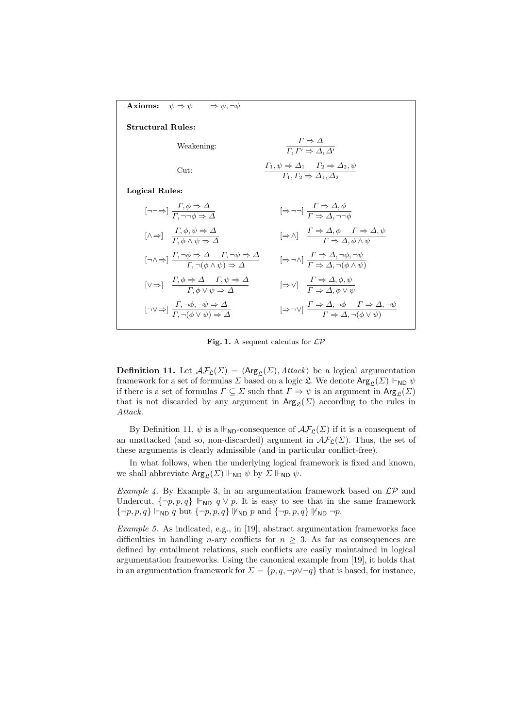

**Fig. 1.** A sequent calculus for *LP*

**Definition 11.** Let  $\mathcal{AF}_{\mathcal{L}}(\Sigma) = \langle \mathsf{Arg}_{\mathcal{L}}(\Sigma), \mathcal{H} \mathcal{H} \mathcal{L} \mathcal{L} \rangle$  be a logical argumentation framework for a set of formulas  $\Sigma$  based on a logic  $\mathfrak{L}$ . We denote  $\text{Arg}_{\mathfrak{L}}(\Sigma) \Vdash_{ND} \psi$ if there is a set of formulas  $\Gamma \subseteq \Sigma$  such that  $\Gamma \Rightarrow \psi$  is an argument in  $\text{Arg}_{\mathcal{L}}(\Sigma)$ that is not discarded by any argument in  $\text{Arg}_{\mathcal{L}}(\Sigma)$  according to the rules in *Attack*.

By Definition 11,  $\psi$  is a  $\vdash_{\mathsf{ND}}$ -consequence of  $\mathcal{AF}_{\mathfrak{L}}(\Sigma)$  if it is a consequent of an unattacked (and so, non-discarded) argument in  $\mathcal{AF}_{\mathcal{L}}(\Sigma)$ . Thus, the set of these arguments is clearly admissible (and in particular conflict-free).

In what follows, when the underlying logical framework is fixed and known, we shall abbreviate  $\text{Arg}_{\mathcal{L}}(\Sigma) \Vdash_{ND} \psi$  by  $\Sigma \Vdash_{ND} \psi$ .

*Example 4.* By Example 3, in an argumentation framework based on *LP* and Undercut,  $\{\neg p, p, q\} \Vdash_{ND} q \vee p$ . It is easy to see that in the same framework  $\{\neg p, p, q\} \Vdash_{ND} q$  but  $\{\neg p, p, q\} \nvDash_{ND} p$  and  $\{\neg p, p, q\} \nvDash_{ND} \neg p$ .

*Example 5.* As indicated, e.g., in [19], abstract argumentation frameworks face difficulties in handling *n*-ary conflicts for  $n \geq 3$ . As far as consequences are defined by entailment relations, such conflicts are easily maintained in logical argumentation frameworks. Using the canonical example from [19], it holds that in an argumentation framework for  $\Sigma = \{p, q, \neg p \lor \neg q\}$  that is based, for instance,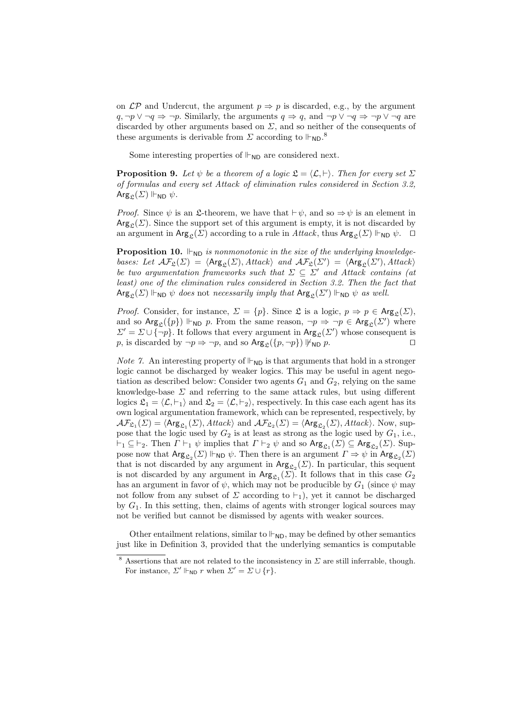on  $\mathcal{LP}$  and Undercut, the argument  $p \Rightarrow p$  is discarded, e.g., by the argument *q*, *¬p*  $\vee$  *¬q*  $\Rightarrow$  *¬p*. Similarly, the arguments *q*  $\Rightarrow$  *q*, and *¬p*  $\vee$  *¬q*  $\Rightarrow$  *¬p*  $\vee$  *¬q* are discarded by other arguments based on *Σ*, and so neither of the consequents of these arguments is derivable from  $\Sigma$  according to  $\mathsf{H}_{\mathsf{ND}}$ .<sup>8</sup>

Some interesting properties of  $\mathbb{H}_{ND}$  are considered next.

**Proposition 9.** Let  $\psi$  be a theorem of a logic  $\mathfrak{L} = \langle \mathcal{L}, \vdash \rangle$ . Then for every set  $\Sigma$ *of formulas and every set Attack of elimination rules considered in Section 3.2,*  $\text{Arg}_{\mathcal{P}}(\Sigma)$   $\Vdash_{ND} \psi$ .

*Proof.* Since  $\psi$  is an £-theorem, we have that  $\vdash \psi$ , and so  $\Rightarrow \psi$  is an element in  $Arg_{\mathcal{C}}(\Sigma)$ . Since the support set of this argument is empty, it is not discarded by an argument in  $\text{Arg}_{\mathfrak{L}}(\Sigma)$  according to a rule in *Attack*, thus  $\text{Arg}_{\mathfrak{L}}(\Sigma) \Vdash_{ND} \psi$ .  $\Box$ 

**Proposition 10.**  $\Vdash_{ND}$  *is nonmonotonic in the size of the underlying knowledgebases: Let*  $\mathcal{AF}_{\mathfrak{L}}(\Sigma) = \langle \mathsf{Arg}_{\mathfrak{L}}(\Sigma), \mathit{Attack} \rangle$  and  $\mathcal{AF}_{\mathfrak{L}}(\Sigma') = \langle \mathsf{Arg}_{\mathfrak{L}}(\Sigma'), \mathit{Attack} \rangle$ *be two argumentation frameworks such that*  $\Sigma \subseteq \Sigma'$  *and Attack contains (at least) one of the elimination rules considered in Section 3.2. Then the fact that*  $\mathsf{Arg}_{\mathfrak{L}}(\mathit{\Sigma}) \Vdash_{\mathsf{ND}} \psi$  *does* not *necessarily imply that*  $\mathsf{Arg}_{\mathfrak{L}}(\mathit{\Sigma}') \Vdash_{\mathsf{ND}} \psi$  *as well.* 

*Proof.* Consider, for instance,  $\Sigma = \{p\}$ . Since  $\mathfrak{L}$  is a logic,  $p \Rightarrow p \in \text{Arg}_{\mathfrak{L}}(\Sigma)$ , and so  $\text{Arg}_{\mathcal{L}}(\{p\}) \Vdash_{ND} p$ . From the same reason,  $\neg p \Rightarrow \neg p \in \text{Arg}_{\mathcal{L}}(\mathcal{Z}')$  where  $\Sigma' = \Sigma \cup \{\neg p\}$ . It follows that every argument in Arg<sub>L</sub>(*Σ'*) whose consequent is *p*, is discarded by  $\neg p \Rightarrow \neg p$ , and so  $\text{Arg}_{\mathcal{L}}(\{p, \neg p\}) \not\vdash_{\text{ND}} p$ .

*Note 7.* An interesting property of  $\mathbb{H}_{ND}$  is that arguments that hold in a stronger logic cannot be discharged by weaker logics. This may be useful in agent negotiation as described below: Consider two agents  $G_1$  and  $G_2$ , relying on the same knowledge-base *Σ* and referring to the same attack rules, but using different logics  $\mathfrak{L}_1 = \langle \mathcal{L}, \vdash_1 \rangle$  and  $\mathfrak{L}_2 = \langle \mathcal{L}, \vdash_2 \rangle$ , respectively. In this case each agent has its own logical argumentation framework, which can be represented, respectively, by  $\mathcal{AF}_{\mathfrak{L}_1}(\Sigma) = \langle \mathsf{Arg}_{\mathfrak{L}_1}(\Sigma), \mathit{Attack} \rangle$  and  $\mathcal{AF}_{\mathfrak{L}_2}(\Sigma) = \langle \mathsf{Arg}_{\mathfrak{L}_2}(\Sigma), \mathit{Attack} \rangle$ . Now, suppose that the logic used by  $G_2$  is at least as strong as the logic used by  $G_1$ , i.e.,  $\vdash_1 \subseteq \vdash_2$ . Then  $\Gamma \vdash_1 \psi$  implies that  $\Gamma \vdash_2 \psi$  and so  $\text{Arg}_{\mathfrak{L}_1}(\Sigma) \subseteq \text{Arg}_{\mathfrak{L}_2}(\Sigma)$ . Suppose now that  $\text{Arg}_{\mathfrak{L}_2}(\Sigma) \Vdash_{ND} \psi$ . Then there is an argument  $\Gamma \Rightarrow \psi$  in  $\text{Arg}_{\mathfrak{L}_2}(\Sigma)$ that is not discarded by any argument in  $\text{Arg}_{\mathcal{L}_2}(\Sigma)$ . In particular, this sequent is not discarded by any argument in  $Arg_{\mathcal{L}_1}(\mathcal{Z})$ . It follows that in this case  $G_2$ has an argument in favor of  $\psi$ , which may not be producible by  $G_1$  (since  $\psi$  may not follow from any subset of  $\Sigma$  according to  $\vdash_1$ ), yet it cannot be discharged by *G*1. In this setting, then, claims of agents with stronger logical sources may not be verified but cannot be dismissed by agents with weaker sources.

Other entailment relations, similar to  $\mathbb{H}_{ND}$ , may be defined by other semantics just like in Definition 3, provided that the underlying semantics is computable

<sup>&</sup>lt;sup>8</sup> Assertions that are not related to the inconsistency in  $\Sigma$  are still inferrable, though. For instance,  $\Sigma' \Vdash_{\text{ND}} r$  when  $\Sigma' = \Sigma \cup \{r\}.$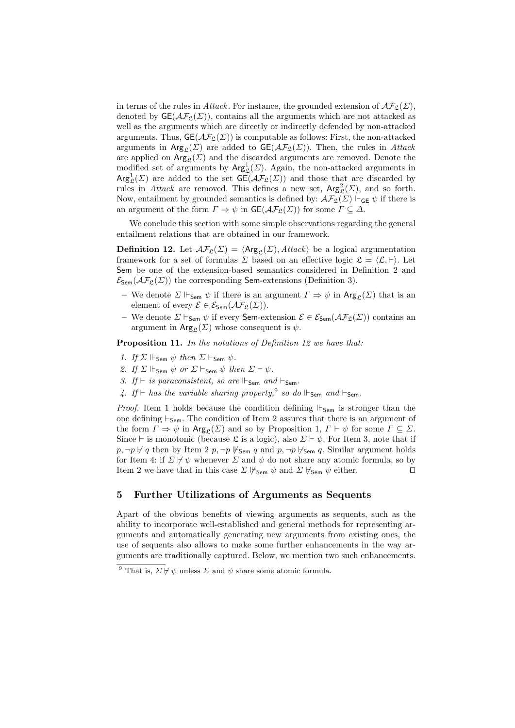in terms of the rules in *Attack*. For instance, the grounded extension of  $\mathcal{AF}_{\mathfrak{L}}(\Sigma)$ , denoted by  $\mathsf{GE}(\mathcal{AF}_{\mathfrak{L}}(\Sigma))$ , contains all the arguments which are not attacked as well as the arguments which are directly or indirectly defended by non-attacked arguments. Thus,  $GE(\mathcal{AF}_{\mathcal{L}}(\Sigma))$  is computable as follows: First, the non-attacked arguments in  $\text{Arg}_{\mathcal{C}}(\Sigma)$  are added to  $\text{GE}(\mathcal{AF}_{\mathcal{C}}(\Sigma))$ . Then, the rules in *Attack* are applied on  $\text{Arg}_{\mathfrak{L}}(\Sigma)$  and the discarded arguments are removed. Denote the modified set of arguments by  $\text{Arg}^1_{\mathfrak{L}}(\Sigma)$ . Again, the non-attacked arguments in  $Arg_{\mathfrak{L}}^1(\Sigma)$  are added to the set  $\mathsf{GE}(\mathcal{AF}_{\mathfrak{L}}(\Sigma))$  and those that are discarded by rules in *Attack* are removed. This defines a new set,  $Arg_{\mathcal{L}}^2(\Sigma)$ , and so forth. Now, entailment by grounded semantics is defined by:  $\mathcal{AF}_{\mathfrak{L}}(\Sigma) \Vdash_{\mathsf{GE}} \psi$  if there is an argument of the form  $\Gamma \Rightarrow \psi$  in  $\mathsf{GE}(\mathcal{AF}_{\mathcal{P}}(\Sigma))$  for some  $\Gamma \subseteq \Delta$ .

We conclude this section with some simple observations regarding the general entailment relations that are obtained in our framework.

**Definition 12.** Let  $\mathcal{AF}_{\mathfrak{L}}(\Sigma) = \langle \mathsf{Arg}_{\mathfrak{L}}(\Sigma), \mathit{Attack} \rangle$  be a logical argumentation framework for a set of formulas *Σ* based on an effective logic  $\mathcal{L} = \langle \mathcal{L}, \vdash \rangle$ . Let Sem be one of the extension-based semantics considered in Definition 2 and  $\mathcal{E}_{\text{Sem}}(\mathcal{AF}_{\mathfrak{L}}(\Sigma))$  the corresponding **Sem**-extensions (Definition 3).

- **−** We denote  $\Sigma \Vdash_{\mathsf{Sem}} \psi$  if there is an argument  $\Gamma \Rightarrow \psi$  in Arg<sub>c</sub>( $\Sigma$ ) that is an element of every  $\mathcal{E} \in \mathcal{E}_{\mathsf{Sem}}(\mathcal{AF}_{\mathfrak{L}}(\Sigma)).$
- $-$  We denote *Σ*  $\vdash$ <sub>Sem</sub>  $\psi$  if every Sem-extension  $\mathcal{E} \in \mathcal{E}_{Sem}(\mathcal{AF}_{\mathcal{L}}(\mathcal{Z}))$  contains an argument in  $\text{Arg}_{\mathcal{C}}(\Sigma)$  whose consequent is  $\psi$ .

**Proposition 11.** *In the notations of Definition 12 we have that:*

- *1. If*  $\Sigma$   $\Vdash_{\mathsf{Sem}} \psi$  *then*  $\Sigma \vdash_{\mathsf{Sem}} \psi$ *.*
- *2. If*  $\Sigma \Vdash_{\mathsf{Sem}} \psi$  *or*  $\Sigma \vdash_{\mathsf{Sem}} \psi$  *then*  $\Sigma \vdash \psi$ *.*
- *3. If*  $\vdash$  *is paraconsistent, so are*  $\Vdash$ <sub>Sem</sub> *and*  $\vdash$ <sub>Sem</sub>.
- *4. If ⊢ has the variable sharing property,*<sup>9</sup> *so do*  $\Vdash$ <sub>Sem</sub> *and*  $\vdash$ <sub>Sem</sub>.

*Proof.* Item 1 holds because the condition defining  $\Vdash_{\mathsf{Sem}}$  is stronger than the one defining *⊢*Sem. The condition of Item 2 assures that there is an argument of the form  $\Gamma \Rightarrow \psi$  in  $\text{Arg}_{\mathfrak{L}}(\Sigma)$  and so by Proposition 1,  $\Gamma \vdash \psi$  for some  $\Gamma \subseteq \Sigma$ . Since *⊢* is monotonic (because  $\mathfrak{L}$  is a logic), also  $\Sigma \vdash \psi$ . For Item 3, note that if *p*,  $\neg p \nvdash q$  then by Item 2 *p*,  $\neg p \nvdash_{\mathsf{Sem}} q$  and *p*,  $\neg p \nvdash_{\mathsf{Sem}} q$ . Similar argument holds for Item 4: if  $\Sigma \not\vdash \psi$  whenever  $\Sigma$  and  $\psi$  do not share any atomic formula, so by Item 2 we have that in this case  $\Sigma \not\vdash_{\mathsf{Sem}} \psi$  and  $\Sigma \not\vdash_{\mathsf{Sem}} \psi$  either.  $\square$ 

## **5 Further Utilizations of Arguments as Sequents**

Apart of the obvious benefits of viewing arguments as sequents, such as the ability to incorporate well-established and general methods for representing arguments and automatically generating new arguments from existing ones, the use of sequents also allows to make some further enhancements in the way arguments are traditionally captured. Below, we mention two such enhancements.

<sup>&</sup>lt;sup>9</sup> That is,  $\Sigma \not\vdash \psi$  unless  $\Sigma$  and  $\psi$  share some atomic formula.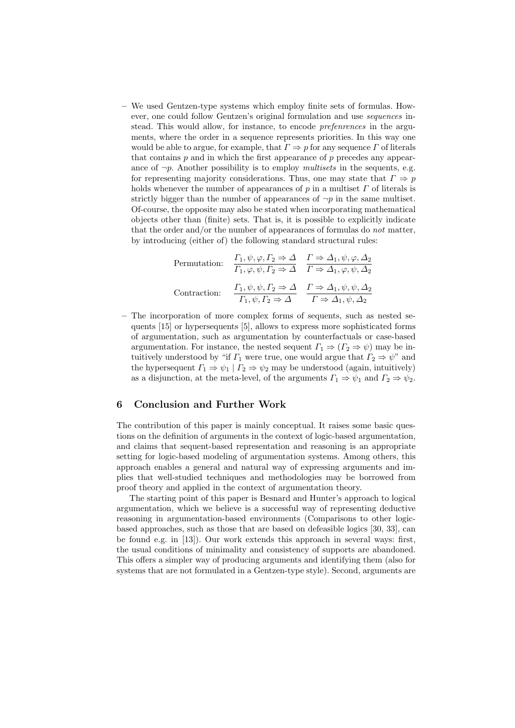**–** We used Gentzen-type systems which employ finite sets of formulas. However, one could follow Gentzen's original formulation and use *sequences* instead. This would allow, for instance, to encode *prefenrences* in the arguments, where the order in a sequence represents priorities. In this way one would be able to argue, for example, that  $\Gamma \Rightarrow p$  for any sequence  $\Gamma$  of literals that contains  $p$  and in which the first appearance of  $p$  precedes any appearance of  $\neg p$ . Another possibility is to employ *multisets* in the sequents, e.g. for representing majority considerations. Thus, one may state that  $\Gamma \Rightarrow p$ holds whenever the number of appearances of *p* in a multiset *Γ* of literals is strictly bigger than the number of appearances of  $\neg p$  in the same multiset. Of-course, the opposite may also be stated when incorporating mathematical objects other than (finite) sets. That is, it is possible to explicitly indicate that the order and/or the number of appearances of formulas do *not* matter, by introducing (either of) the following standard structural rules:

Permutation: 
$$
\frac{\Gamma_1, \psi, \varphi, \Gamma_2 \Rightarrow \Delta}{\Gamma_1, \varphi, \psi, \Gamma_2 \Rightarrow \Delta} \quad \frac{\Gamma \Rightarrow \Delta_1, \psi, \varphi, \Delta_2}{\Gamma \Rightarrow \Delta_1, \varphi, \psi, \Delta_2}
$$
  
Contraction: 
$$
\frac{\Gamma_1, \psi, \psi, \Gamma_2 \Rightarrow \Delta}{\Gamma_1, \psi, \Gamma_2 \Rightarrow \Delta} \quad \frac{\Gamma \Rightarrow \Delta_1, \psi, \psi, \Delta_2}{\Gamma \Rightarrow \Delta_1, \psi, \Delta_2}
$$

**–** The incorporation of more complex forms of sequents, such as nested sequents [15] or hypersequents [5], allows to express more sophisticated forms of argumentation, such as argumentation by counterfactuals or case-based argumentation. For instance, the nested sequent  $\Gamma_1 \Rightarrow (\Gamma_2 \Rightarrow \psi)$  may be intuitively understood by "if  $\Gamma_1$  were true, one would argue that  $\Gamma_2 \Rightarrow \psi$ " and the hypersequent  $\Gamma_1 \Rightarrow \psi_1 | \Gamma_2 \Rightarrow \psi_2$  may be understood (again, intuitively) as a disjunction, at the meta-level, of the arguments  $\Gamma_1 \Rightarrow \psi_1$  and  $\Gamma_2 \Rightarrow \psi_2$ .

## **6 Conclusion and Further Work**

The contribution of this paper is mainly conceptual. It raises some basic questions on the definition of arguments in the context of logic-based argumentation, and claims that sequent-based representation and reasoning is an appropriate setting for logic-based modeling of argumentation systems. Among others, this approach enables a general and natural way of expressing arguments and implies that well-studied techniques and methodologies may be borrowed from proof theory and applied in the context of argumentation theory.

The starting point of this paper is Besnard and Hunter's approach to logical argumentation, which we believe is a successful way of representing deductive reasoning in argumentation-based environments (Comparisons to other logicbased approaches, such as those that are based on defeasible logics [30, 33], can be found e.g. in [13]). Our work extends this approach in several ways: first, the usual conditions of minimality and consistency of supports are abandoned. This offers a simpler way of producing arguments and identifying them (also for systems that are not formulated in a Gentzen-type style). Second, arguments are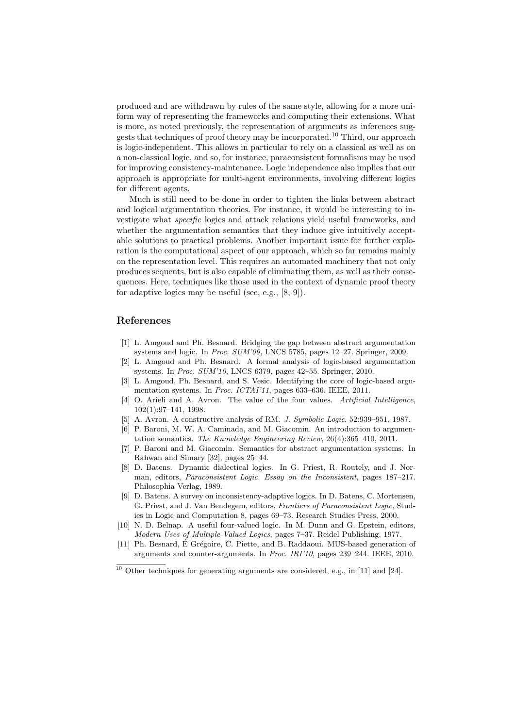produced and are withdrawn by rules of the same style, allowing for a more uniform way of representing the frameworks and computing their extensions. What is more, as noted previously, the representation of arguments as inferences suggests that techniques of proof theory may be incorporated.<sup>10</sup> Third, our approach is logic-independent. This allows in particular to rely on a classical as well as on a non-classical logic, and so, for instance, paraconsistent formalisms may be used for improving consistency-maintenance. Logic independence also implies that our approach is appropriate for multi-agent environments, involving different logics for different agents.

Much is still need to be done in order to tighten the links between abstract and logical argumentation theories. For instance, it would be interesting to investigate what *specific* logics and attack relations yield useful frameworks, and whether the argumentation semantics that they induce give intuitively acceptable solutions to practical problems. Another important issue for further exploration is the computational aspect of our approach, which so far remains mainly on the representation level. This requires an automated machinery that not only produces sequents, but is also capable of eliminating them, as well as their consequences. Here, techniques like those used in the context of dynamic proof theory for adaptive logics may be useful (see, e.g., [8, 9]).

## **References**

- [1] L. Amgoud and Ph. Besnard. Bridging the gap between abstract argumentation systems and logic. In *Proc. SUM'09*, LNCS 5785, pages 12–27. Springer, 2009.
- [2] L. Amgoud and Ph. Besnard. A formal analysis of logic-based argumentation systems. In *Proc. SUM'10*, LNCS 6379, pages 42–55. Springer, 2010.
- [3] L. Amgoud, Ph. Besnard, and S. Vesic. Identifying the core of logic-based argumentation systems. In *Proc. ICTAI'11*, pages 633–636. IEEE, 2011.
- [4] O. Arieli and A. Avron. The value of the four values. *Artificial Intelligence*, 102(1):97–141, 1998.
- [5] A. Avron. A constructive analysis of RM. *J. Symbolic Logic*, 52:939–951, 1987.
- [6] P. Baroni, M. W. A. Caminada, and M. Giacomin. An introduction to argumentation semantics. *The Knowledge Engineering Review*, 26(4):365–410, 2011.
- [7] P. Baroni and M. Giacomin. Semantics for abstract argumentation systems. In Rahwan and Simary [32], pages 25–44.
- [8] D. Batens. Dynamic dialectical logics. In G. Priest, R. Routely, and J. Norman, editors, *Paraconsistent Logic. Essay on the Inconsistent*, pages 187–217. Philosophia Verlag, 1989.
- [9] D. Batens. A survey on inconsistency-adaptive logics. In D. Batens, C. Mortensen, G. Priest, and J. Van Bendegem, editors, *Frontiers of Paraconsistent Logic*, Studies in Logic and Computation 8, pages 69–73. Research Studies Press, 2000.
- [10] N. D. Belnap. A useful four-valued logic. In M. Dunn and G. Epstein, editors, *Modern Uses of Multiple-Valued Logics*, pages 7–37. Reidel Publishing, 1977.
- [11] Ph. Besnard, É Grégoire, C. Piette, and B. Raddaoui. MUS-based generation of arguments and counter-arguments. In *Proc. IRI'10*, pages 239–244. IEEE, 2010.

 $10$  Other techniques for generating arguments are considered, e.g., in [11] and [24].